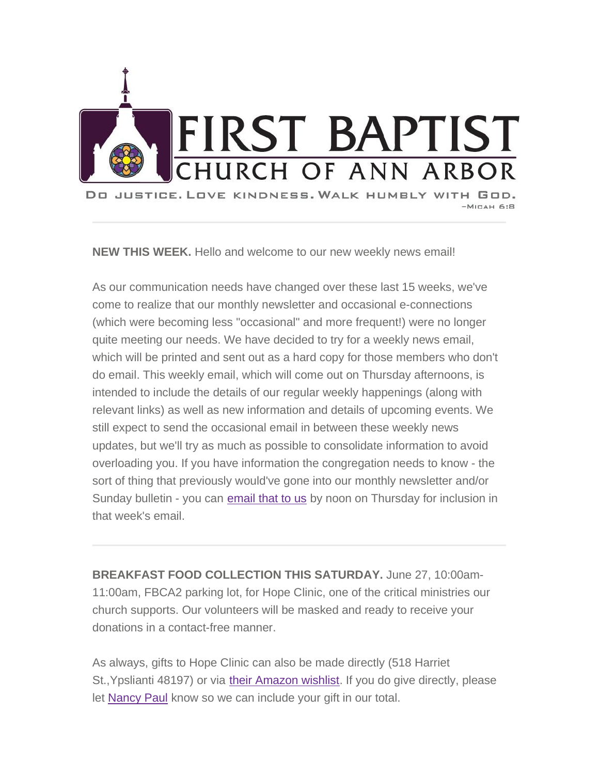

**NEW THIS WEEK.** Hello and welcome to our new weekly news email!

As our communication needs have changed over these last 15 weeks, we've come to realize that our monthly newsletter and occasional e-connections (which were becoming less "occasional" and more frequent!) were no longer quite meeting our needs. We have decided to try for a weekly news email, which will be printed and sent out as a hard copy for those members who don't do email. This weekly email, which will come out on Thursday afternoons, is intended to include the details of our regular weekly happenings (along with relevant links) as well as new information and details of upcoming events. We still expect to send the occasional email in between these weekly news updates, but we'll try as much as possible to consolidate information to avoid overloading you. If you have information the congregation needs to know - the sort of thing that previously would've gone into our monthly newsletter and/or Sunday bulletin - you can email that to us by noon on Thursday for inclusion in that week's email.

**BREAKFAST FOOD COLLECTION THIS SATURDAY.** June 27, 10:00am-11:00am, FBCA2 parking lot, for Hope Clinic, one of the critical ministries our church supports. Our volunteers will be masked and ready to receive your donations in a contact-free manner.

As always, gifts to Hope Clinic can also be made directly (518 Harriet St.,Ypslianti 48197) or via their Amazon wishlist. If you do give directly, please let Nancy Paul know so we can include your gift in our total.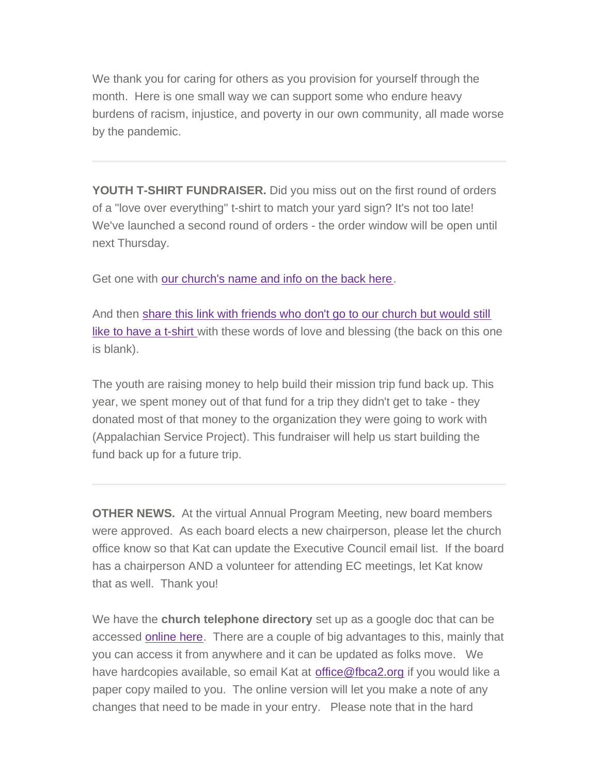We thank you for caring for others as you provision for yourself through the month. Here is one small way we can support some who endure heavy burdens of racism, injustice, and poverty in our own community, all made worse by the pandemic.

**YOUTH T-SHIRT FUNDRAISER.** Did you miss out on the first round of orders of a "love over everything" t-shirt to match your yard sign? It's not too late! We've launched a second round of orders - the order window will be open until next Thursday.

Get one with our church's name and info on the back here.

And then share this link with friends who don't go to our church but would still like to have a t-shirt with these words of love and blessing (the back on this one is blank).

The youth are raising money to help build their mission trip fund back up. This year, we spent money out of that fund for a trip they didn't get to take - they donated most of that money to the organization they were going to work with (Appalachian Service Project). This fundraiser will help us start building the fund back up for a future trip.

**OTHER NEWS.** At the virtual Annual Program Meeting, new board members were approved. As each board elects a new chairperson, please let the church office know so that Kat can update the Executive Council email list. If the board has a chairperson AND a volunteer for attending EC meetings, let Kat know that as well. Thank you!

We have the **church telephone directory** set up as a google doc that can be accessed online here. There are a couple of big advantages to this, mainly that you can access it from anywhere and it can be updated as folks move. We have hardcopies available, so email Kat at [office@fbca2.org](mailto:office@fbca2.org) if you would like a paper copy mailed to you. The online version will let you make a note of any changes that need to be made in your entry. Please note that in the hard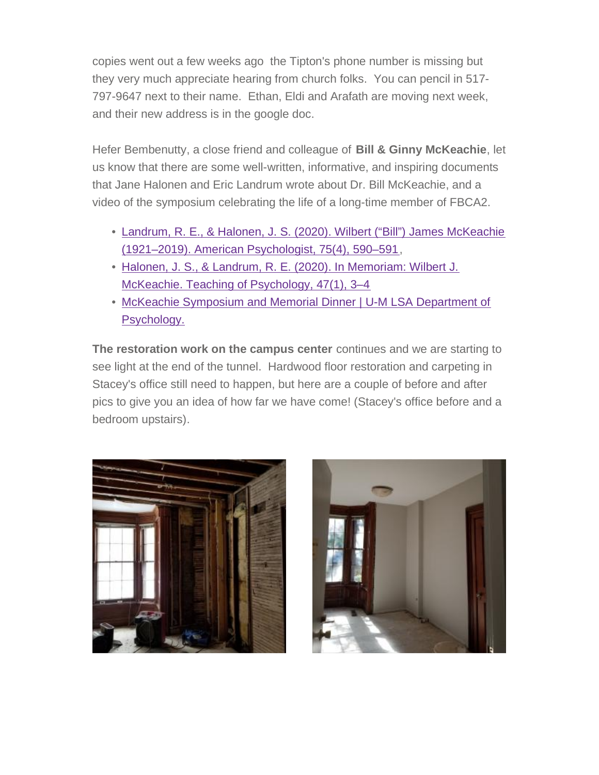copies went out a few weeks ago the Tipton's phone number is missing but they very much appreciate hearing from church folks. You can pencil in 517- 797-9647 next to their name. Ethan, Eldi and Arafath are moving next week, and their new address is in the google doc.

Hefer Bembenutty, a close friend and colleague of **Bill & Ginny McKeachie**, let us know that there are some well-written, informative, and inspiring documents that Jane Halonen and Eric Landrum wrote about Dr. Bill McKeachie, and a video of the symposium celebrating the life of a long-time member of FBCA2.

- Landrum, R. E., & Halonen, J. S. (2020). Wilbert ("Bill") James McKeachie (1921–2019). American Psychologist, 75(4), 590–591,
- Halonen, J. S., & Landrum, R. E. (2020). In Memoriam: Wilbert J. McKeachie. Teaching of Psychology, 47(1), 3–4
- McKeachie Symposium and Memorial Dinner | U-M LSA Department of Psychology.

**The restoration work on the campus center** continues and we are starting to see light at the end of the tunnel. Hardwood floor restoration and carpeting in Stacey's office still need to happen, but here are a couple of before and after pics to give you an idea of how far we have come! (Stacey's office before and a bedroom upstairs).



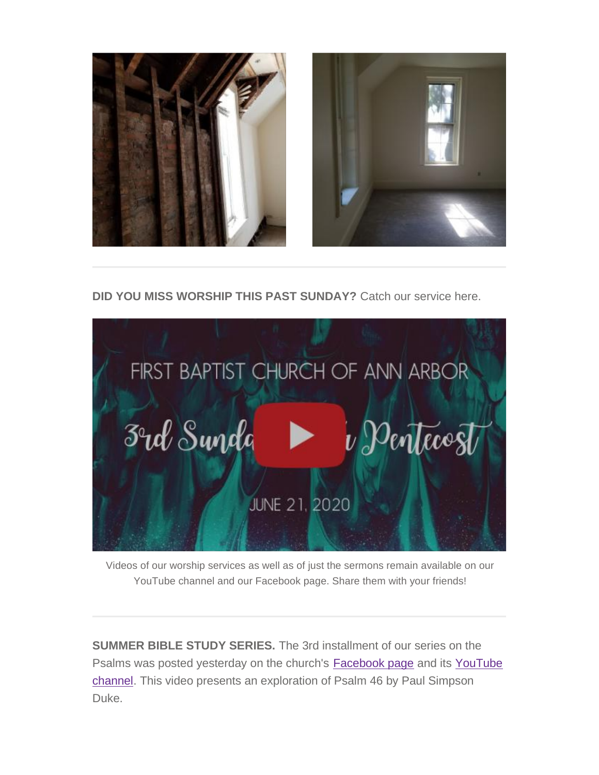



**DID YOU MISS WORSHIP THIS PAST SUNDAY?** Catch our service here.



Videos of our worship services as well as of just the sermons remain available on our YouTube channel and our Facebook page. Share them with your friends!

**SUMMER BIBLE STUDY SERIES.** The 3rd installment of our series on the Psalms was posted yesterday on the church's Facebook page and its YouTube channel. This video presents an exploration of Psalm 46 by Paul Simpson Duke.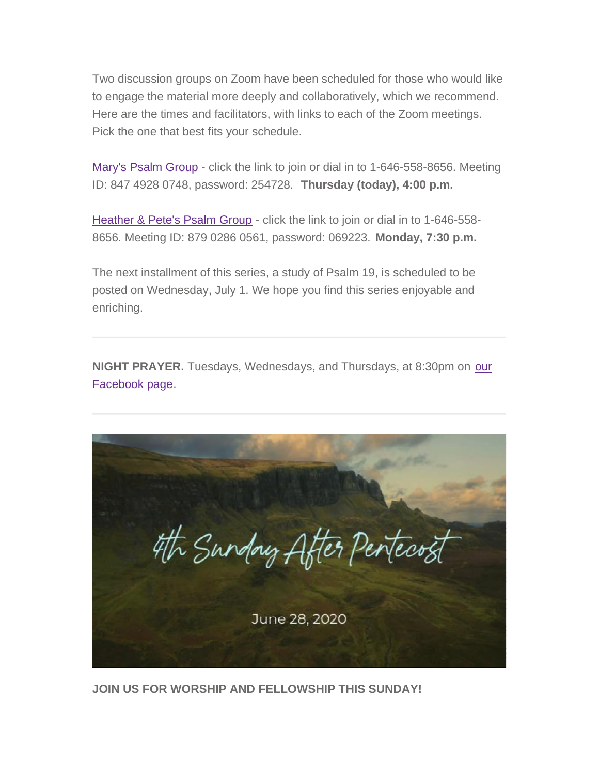Two discussion groups on Zoom have been scheduled for those who would like to engage the material more deeply and collaboratively, which we recommend. Here are the times and facilitators, with links to each of the Zoom meetings. Pick the one that best fits your schedule.

Mary's Psalm Group - click the link to join or dial in to 1-646-558-8656. Meeting ID: 847 4928 0748, password: 254728. **Thursday (today), 4:00 p.m.**

Heather & Pete's Psalm Group - click the link to join or dial in to 1-646-558- 8656. Meeting ID: 879 0286 0561, password: 069223. **Monday, 7:30 p.m.**

The next installment of this series, a study of Psalm 19, is scheduled to be posted on Wednesday, July 1. We hope you find this series enjoyable and enriching.

**NIGHT PRAYER.** Tuesdays, Wednesdays, and Thursdays, at 8:30pm on our Facebook page.

4th Sunday After Penteco June 28, 2020

**JOIN US FOR WORSHIP AND FELLOWSHIP THIS SUNDAY!**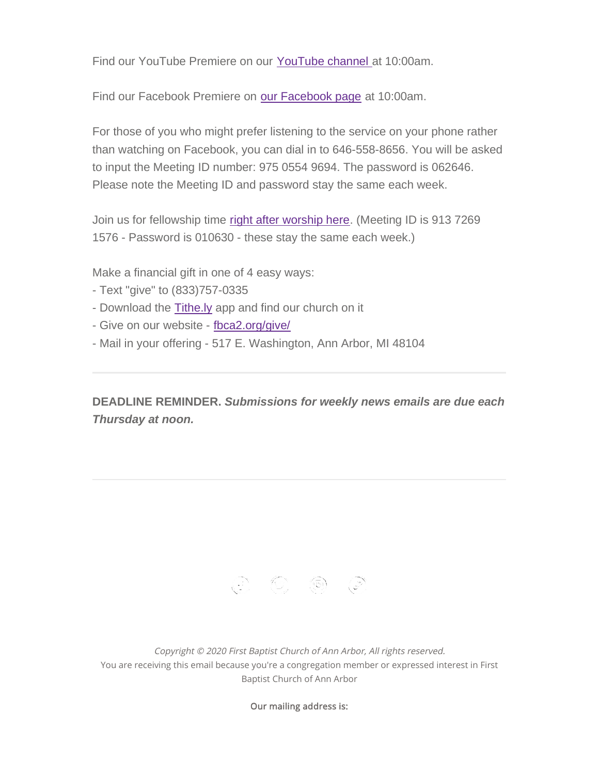Find our YouTube Premiere on our YouTube channel at 10:00am.

Find our Facebook Premiere on our Facebook page at 10:00am.

For those of you who might prefer listening to the service on your phone rather than watching on Facebook, you can dial in to 646-558-8656. You will be asked to input the Meeting ID number: 975 0554 9694. The password is 062646. Please note the Meeting ID and password stay the same each week.

Join us for fellowship time right after worship here. (Meeting ID is 913 7269 1576 - Password is 010630 - these stay the same each week.)

Make a financial gift in one of 4 easy ways:

- Text "give" to (833)757-0335
- Download the Tithe.ly app and find our church on it
- Give on our website fbca2.org/give/
- Mail in your offering 517 E. Washington, Ann Arbor, MI 48104

**DEADLINE REMINDER.** *Submissions for weekly news emails are due each Thursday at noon.*

 $\begin{array}{ccc} \textcircled{c} & \textcircled{c} & \textcircled{c} & \textcircled{c} \end{array}$ 

*Copyright © 2020 First Baptist Church of Ann Arbor, All rights reserved.* You are receiving this email because you're a congregation member or expressed interest in First Baptist Church of Ann Arbor

**Our mailing address is:**